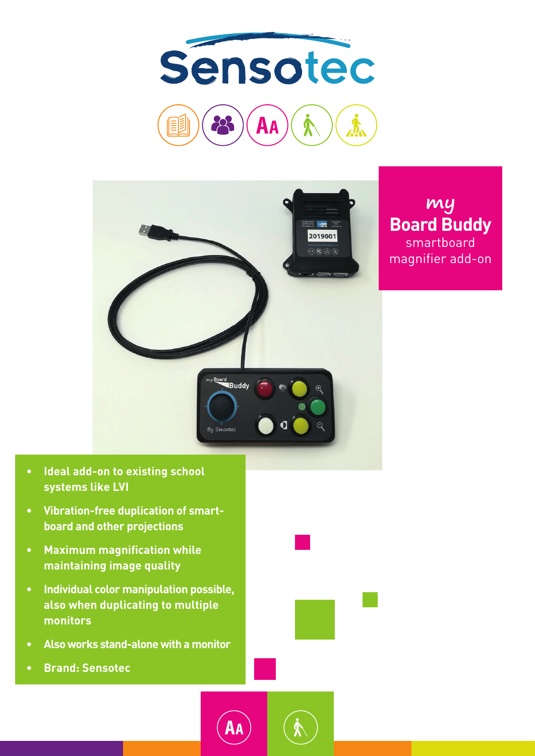



## **my Board Buddy** smartboard magnifier add-on

- **• Ideal add-on to existing school systems like LVI**
- **• Vibration-free duplication of smartboard and other projections**
- **• Maximum magnification while maintaining image quality**
- **• Individual color manipulation possible, also when duplicating to multiple monitors**
- **• Also works stand-alone with a monitor**
- **• Brand: Sensotec**